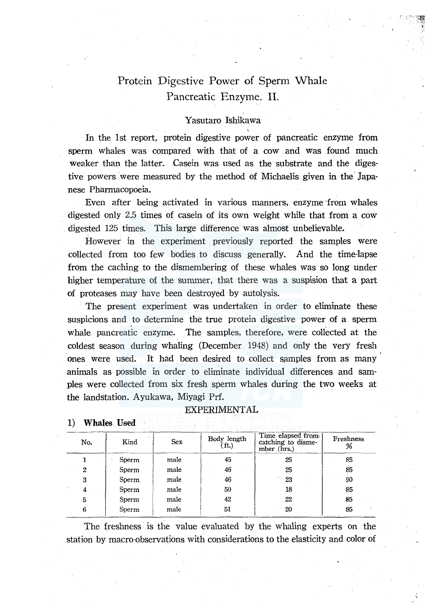# Protein Digestive Power of Sperm Whale Pancreatic Enzyme. II.

# Yasutaro Ishikawa

In the 1st report, protein digestive power of pancreatic enzyme from sperm whales was compared with that of a cow and was found much weaker than the latter. Casein was used as the substrate and the digestive powers were measured by the method of Michaelis given in the Japanese Pharmacopoeia.

Even after being activated in various manners, enzyme from whales digested only 2.5 times of casein of its own weight while that from a cow digested 125 times. This large difference was almost unbelievable.

However in the experiment previously reported the samples were collected from too few bodies to discuss generally. And the time-lapse from the caching to the dismembering of these whales was so long under higher temperature of the summer, that there was a suspision that a part of proteases may have been destroyed by autolysis.

The present experiment was undertaken in order to eliminate these suspicions and to determine the true protein digestive power of a sperm whale pancreatic enzyme. The samples, therefore, were collected at the coldest season during whaling (December\_ 1948) and only the very fresh ones were used. It had been desired to collect samples from as many animals as possible in order to eliminate individual differences and samples were collected from six fresh sperm whales during the two weeks at the landstation. Ayukawa, Miyagi Prf.

### EXPERIMENTAL

| No.             | Kind  | <b>Sex</b> | Body length<br>$^{\prime}$ ft.) | Time elapsed from<br>catching to disme-<br>mber (hrs.) | Freshness<br>% |
|-----------------|-------|------------|---------------------------------|--------------------------------------------------------|----------------|
| ┸               | Sperm | male       | 45                              | 25                                                     | 85             |
| 2               | Sperm | male       | 46                              | 25                                                     | 85             |
| 3               | Sperm | male       | 46                              | 23                                                     | 90             |
| $\epsilon$<br>4 | Sperm | male       | 50                              | 18                                                     | 85             |
| 5               | Sperm | male       | 42                              | 22                                                     | 85             |
| 6               | Sperm | male       | 51                              | 20                                                     | 85             |

# **1) Whales** Used

The freshness is the value evaluated by the whaling experts on the station by macro-observations with considerations to the elasticity and color of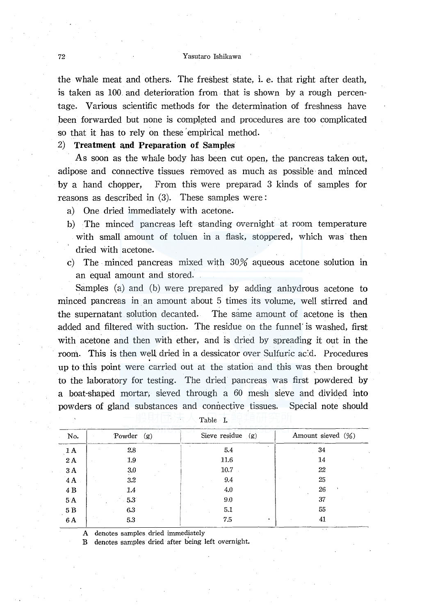#### 72 Yasutaro Ishikawa

the whale meat and others. The freshest state, i. e. that right after death, is taken as 100 and deterioration from that is shown by a rough percentage. Various scientific methods for the determination of freshness have been forwarded but none is completed and procedures are too complicated so that it has to rely on these 'empirical method.

2) **Treatment and Preparation of Samples** 

As soon as the whale body has been cut open, the pancreas taken out, adipose and connective tissues removed as much as possible· and minced by a hand chopper, From this were preparad 3 kinds of samples for reasons as described in (3). These samples were:

- a) One dried immediately with acetone.
- b) The minced pancreas left standing overnight at room temperature with small amount of toluen in a flask, stoppered, which was then dried with acetone.
- c) The minced pancreas mixed with 30% aqueous acetone solution in an equal amount and stored.

Samples (a) and (b) were prepared by adding anhydrous acetone to minced pancreas in an amount about 5 times its volume, well stirred and the supernatant solution decanted. The same amount of acetone is then added and filtered With suction. The residue on the funnel' is washed, first with acetone and then with ether, and is dried by spreading it out in the room. This is then well dried in a dessicator over Sulfuric ac:d. Procedures up to this point were carried out at the station and this was then brought to the laboratory for testing. The dried pancreas was first powdered by a boat-shaped mortar; sieved through a 60 mesh sieve and divided into powders of gland substances and connective tissues. Special note should

| No.             | Powder<br>(g) | Sieve residue $(g)$ | Amount sieved $(\%)$ |  |
|-----------------|---------------|---------------------|----------------------|--|
| 1 A             | 2.8           | 5.4                 | 34                   |  |
| 2A              | 1.9           | 11.6                | 14                   |  |
| 3A              | 3.0           | 10.7                | 22                   |  |
| $4\,\mathrm{A}$ | $3.2\,$       | 9.4                 | 25                   |  |
| 4 B             | $1.4\,$       | 4.0                 | 26                   |  |
| 5A              | 5.3           | 9.0                 | 37                   |  |
| $5\ \mathrm{B}$ | 6.3           | 5.1                 | 55                   |  |
| 6 A             | 5.3           | 7.5                 | 41                   |  |

Table I.

A denotes samples dried immediately

B denotes samples dried after being left overnight.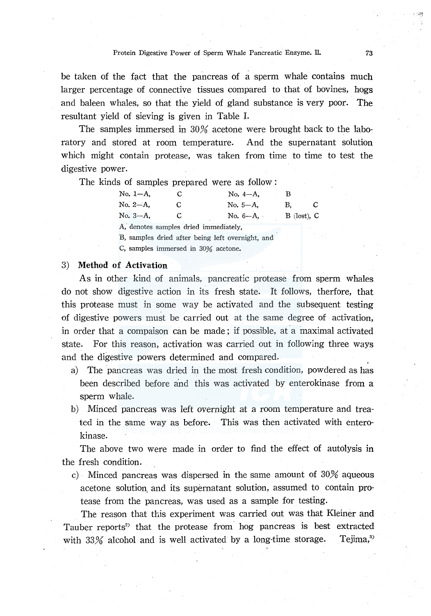be taken of the fact that the pancreas of a sperm whale contains much larger percentage of connective tissues compared to that of bovines, hogs and baleen whales, so that the yield of gland substance is very poor. The resultant yield of sieving is given in Table I.

The samples immersed in 30% acetone were brought back to the laboratory and stored at room temperature. And the supernatant solution which might contain protease, was taken from time to time to test the digestive power.

The kinds of samples prepared were as follow :

| $No. 1-A.$ | G. | No. $4-A$ . |                 |  |
|------------|----|-------------|-----------------|--|
| No. 2-A.   | С  | $No. 5-A.$  | В.              |  |
| $No. 3-A.$ |    | No. $6-A$ , | $B$ (lost), $C$ |  |

A; denotes samples dried immediately,

B, samples dried after being left overnight, and

C, samples immersed in 30% acetone.

### 3) **Method of Activation**

As in other kind of animals, pancreatic protease from sperm whales do not show digestive action in its fresh state. It follows, therfore, that this protease must in some way be activated and the subsequent testing of digestive powers must be carried out at the same degree of activation, in order that a compaison can be made; if possible, at a maximal activated state. For this reason, activation was carried out in following three ways and the digestive powers determined and compared.

- a) The pancreas was dried in the most fresh condition, powdered as has been described before and this was activated by enterokinase from a sperm whale.
- b) Minced pancreas was left overnight at a room temperature and treated in the same way as before. This was then activated with enterokinase.

The above two were made in order to find the effect of autolysis in the fresh condition.

c) Minced pancreas was dispersed in the same amount of 30% aqueous acetone solution. and its supernatant solution, assumed to contain protease from the pancreas, was used as a sample for testing.

The reason that this experiment was carried out was that Kleiner and Tauber reports<sup>2</sup> that the protease from hog pancreas is best extracted with  $33\%$  alcohol and is well activated by a long-time storage. Tejima,<sup>3</sup>

.. -•. !.~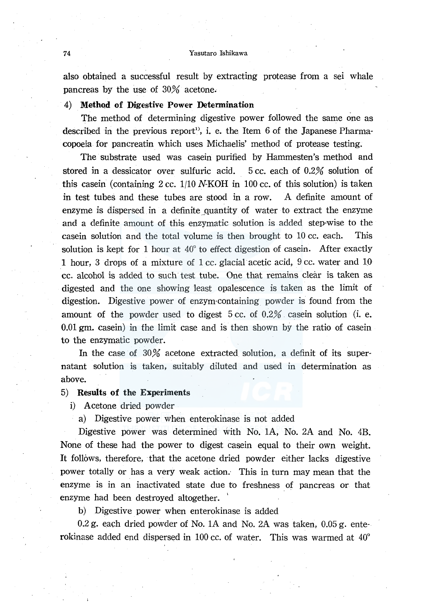also obtained a successful result by extracting protease from a sei whale pancreas by the use of 30% acetone.

## 4) Method of Digestive Power Determination

The method of determining digestive power followed the same one as described in the previous report<sup>1</sup>, i. e. the Item 6 of the Japanese Pharmacopoeia for pancreatin which uses Michaelis' method of protease testing.

The substrate used was casein purified by Hammesten's method and stored in a dessicator over sulfuric acid. 5 cc. each of 0.2% solution of this casein (containing 2 cc.  $1/10$  N-KOH in 100 cc. of this solution) is taken in test tubes and these tubes are stood in a row. A definite amount of enzyme is dispersed in a definite quantity of water to extract the enzyme and a definite amount of this enzymatic solution is added step-wise to the casein solution and the total volume is then brought to 10 cc. each. This solution is kept for 1 hour at 40° to effect digestion of casein. After exactly 1 hour, 3 drops of a mixture of 1 cc. glacial acetic acid, 9 cc. water and 10 cc. alcohol is added to such test tube. One that remains clear is taken as digested and the one showing least opalescence is taken as the limit of digestion. Digestive power of enzym-containing powder is found from the amount of the powder used to digest  $5 \text{ cc}$  of  $0.2\%$  casein solution (i. e. 0.01 gm. casein) in the limit case and is then shown by the ratio of casein to the enzymatic powder.

In the case of  $30\%$  acetone extracted solution, a definit of its supernatant solution is taken, suitably diluted and used in determination as above.

# 5) Results of the Experiments

i} Acetone dried powder

a) Digestive power when enterokinase is not added

Digestive power was determined with No. lA, No. 2A and No. 4B. None of these had the power to digest casein equal to their own weight. It follows, therefore, that the acetone dried powder either lacks digestive power totally or has a very weak action.- This in turn may mean that the enzyme is in an inactivated state due to freshness of pancreas or that enzyme had been destroyed altogether.

b) Digestive power when enterokinase is added

0.2 g. each dried powder of No. lA and No. 2A was taken, 0.05 g. ente· rokinase added end dispersed in 100 cc. of water. This was warmed at 40°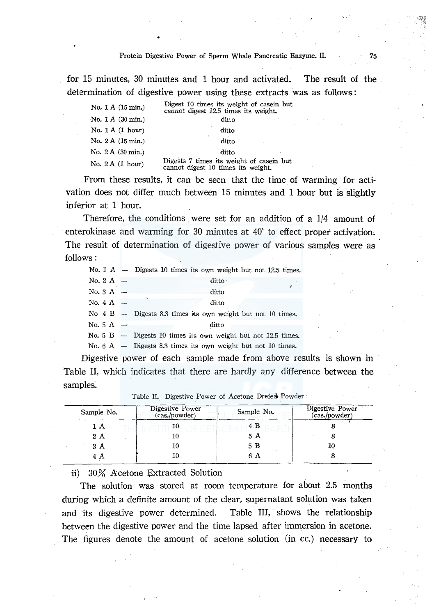for 15 minutes, 30 minutes and 1 hour and activated. The result of the determination of digestive power using these extracts was as follows :

| No. 1 A (15 min.)                    | Digest 10 times its weight of casein but<br>cannot digest 12.5 times its weight. |
|--------------------------------------|----------------------------------------------------------------------------------|
| No. $1 \text{ A } (30 \text{ min.})$ | ditto                                                                            |
| No. $1A(1 hour)$                     | ditto                                                                            |
| No. 2 A (15 min.)                    | ditto                                                                            |
| No. 2 A (30 min.)                    | ditto                                                                            |
| No. $2A(1 hour)$                     | Digests 7 times its weight of casein but<br>cannot digest 10 times its weight.   |

From these results, it can be seen that the time of warming for activation does not differ much between 15 minutes and 1 hour but is slightly inferior at 1 hour.

Therefore, the conditions were set for an addition of a 1/4 amount of enterokinase and warming for 30 minutes at  $40^{\circ}$  to effect proper activation. The result of determination of digestive power of various samples were as follows:

|                     | No. $1 \text{ A }$ - Digests 10 times its own weight but not 12.5 times. |
|---------------------|--------------------------------------------------------------------------|
| No. 2 A $-$         | ditto ·                                                                  |
| No. $3 \text{ A}$ – | ditto                                                                    |
| No. $4 \text{ A}$ - | ditto                                                                    |
|                     | No $4 B$ - Digests 8.3 times its own weight but not 10 times.            |
| No. 5 A $-$         | ditto                                                                    |
|                     | No. $5 \text{ B}$ - Digests 10 times its own weight but not 12.5 times.  |
|                     | No. $6 \text{ A }$ - Digests 8.3 times its own weight but not 10 times.  |

Digestive power of each sample made from above results is shown in Table II, which indicates that there are hardly any difference between the samples:

| Sample No. | Digestive Power<br>(cas./powder) | Sample No. | Digestive Power<br>(cas./powder) |
|------------|----------------------------------|------------|----------------------------------|
| 1 A        | 10                               | 4 B        |                                  |
| 2A         | 10                               | 5 A        |                                  |
| 3 A        | 10                               | 5 B        | 10                               |
| 4 A        | 10                               | 6 A        |                                  |

Table II. Digestive Power of Acetone Dreied Powder

ii) 30% Acetone Extracted Solution

The solution was stored at room temperature for about 2.5 months during which a definite amount of the clear, supernatant solution was taken and its digestive power determined. Table III, shows the relationship between the digestive power and the time lapsed after immersion in acetone. The figures denote the amount of acetone solution (in cc.) necessary to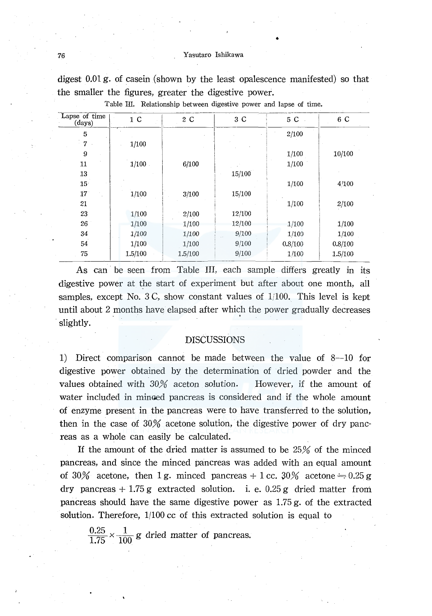#### 76 Yasutaro Ishikawa

•

digest 0.01 g. of casein (shown by the least opalescence manifested) so that the smaller the figures, greater the digestive power.

| Lapse of time<br>(days) | 1 <sup>C</sup> | 2 C     | 3 C    | 5 C     | 6 C     |
|-------------------------|----------------|---------|--------|---------|---------|
| 5                       |                |         |        | 2/100   |         |
| 7                       | 1/100          |         |        |         |         |
| 9                       |                |         |        | 1/100   | 10/100  |
| 11                      | 1/100          | 6/100   |        | 1/100   |         |
| 13                      |                |         | 15/100 |         |         |
| 15 <sup>°</sup>         |                |         |        | 1/100   | 4/100   |
| 17 <sup>°</sup>         | 1/100          | 3/100   | 15/100 |         |         |
| 21                      |                |         |        | 1/100   | 2/100   |
| 23                      | 1/100          | 2/100   | 12/100 |         |         |
| 26                      | 1/100          | 1/100   | 12/100 | 1/100   | 1/100   |
| 34                      | 1/100          | 1/100   | 9/100  | 1/100   | 1/100   |
| 54                      | 1/100          | 1/100   | 9/100  | 0.8/100 | 0.8/100 |
| 75                      | 1.5/100        | 1.5/100 | 9/100  | 1/100   | 1.5/100 |

Table Ill. Relationship between digestive power and lapse of time.

As can be seen from Table III, each sample differs greatly in its digestive power at the start of experiment but after about one month, all samples, except No. 3 C, show constant vaiues of 1/100. This level is kept until about 2 months have elapsed after which the power gradually decreases slightly.

# DISCUSSIONS

1) Direct comparison cannot be made between the value of 8-10 for digestive power obtained by the determination of dried powder and the values obtained with 30% aceton solution. However, if the amount of water included in minaed pancreas is considered and if the whole amount of enzyme present in the pancreas were to have transferred to the solution, then in the case of 30% acetone solution, the digestive power of dry pancreas as a whole can easily be calculated.

If the amount of the dried matter is assumed to be 25% of the minced pancreas, and since the minced pancreas was added with an equal amount of 30% acetone, then 1 g. minced pancreas  $+1$  cc. 30% acetone  $= 0.25$  g dry pancreas  $+1.75$  g extracted solution. i. e. 0.25 g dried matter from pancreas should have the same digestive power as 1.75 g. of the extracted solution. Therefore, 1/100 cc of this extracted solution is equal to

 $\frac{0.25}{1.75} \times \frac{1}{100}$  g dried matter of pancreas.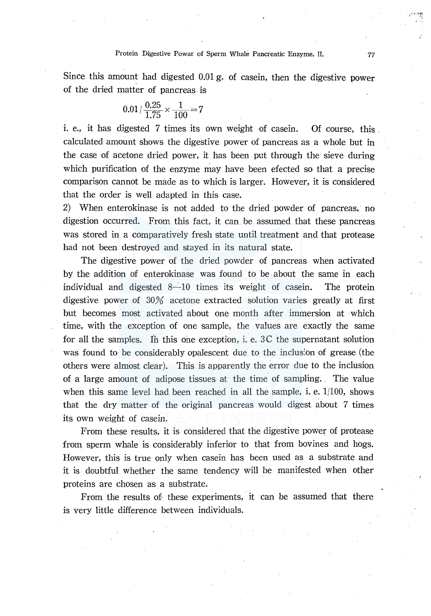Since this amount had digested 0.01 g. of casein, then the digestive power of the dried matter of pancreas is

$$
0.01 / \frac{0.25}{1.75} \times \frac{1}{100} = 7
$$

i. e., it has digested 7 times its own weight of casein. Of course, this calculated amount shows the digestive power of pancreas as a whole but in the case of acetone dried power, it has been put through the sieve during which purification of the enzyme may have been efected so that a precise comparison cannot be made as to which is larger. However, it is considered that the order is well adapted in this case.

2) When enterokinase is not added to the dried powder of pancreas, no digestion occurred. From this fact, it can be assumed that these pancreas was stored in a comparatively fresh state until treatment and that protease had not been destroyed and stayed in its natural state.

The digestive power of the dried powder of pancreas when activated by the addition of enterokinase was found to be about the same in each individual and digested  $8-10$  times its weight of casein. The protein digestive power of 30% acetone extracted solution varies greatly at first but becomes most activated about one month after immersion at which time, with the exception of one sample, the values are exactly the same for all the samples. In this one exception, i. e.  $3C$  the supernatant solution was found to be considerably opalescent due to the inclus:on of grease (the others were almost clear). This is apparently the error due to the inclusion of a large amount of adipose tissues at the time of sampling.. The value when this same level had been reached in all the sample, i. e.  $1/100$ , shows that the dry matter of the original pancreas would digest about  $7$  times its own weight of casein.

From these results, it is considered that the digestive power of protease from sperm whale is considerably inferior to that from bovines and hogs. However, this is true only when casein has been used as a substrate and it is doubtful whether the same tendency will be manifested when other proteins are chosen as a substrate.

From the results of these experiments, it can be assumed that there is very little difference between individuals.